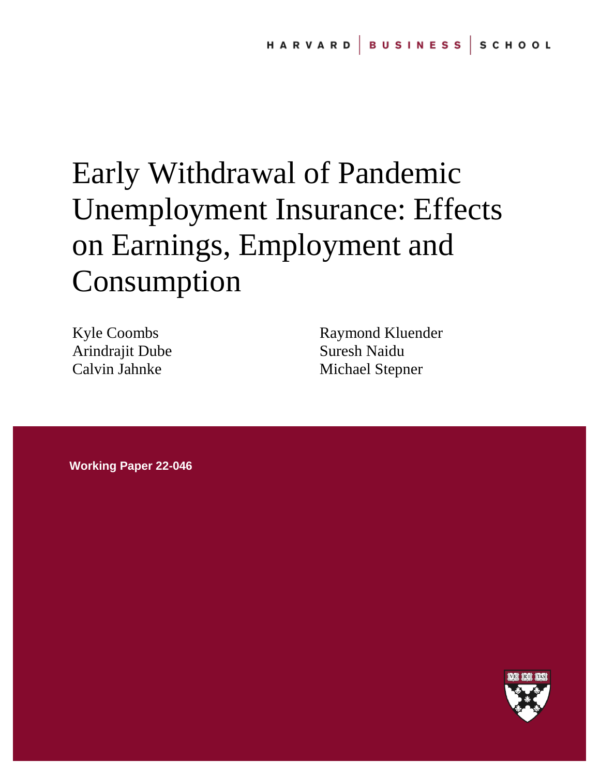# Early Withdrawal of Pandemic Unemployment Insurance: Effects on Earnings, Employment and Consumption

Kyle Coombs Arindrajit Dube Calvin Jahnke

Raymond Kluender Suresh Naidu Michael Stepner

**Working Paper 22-046**

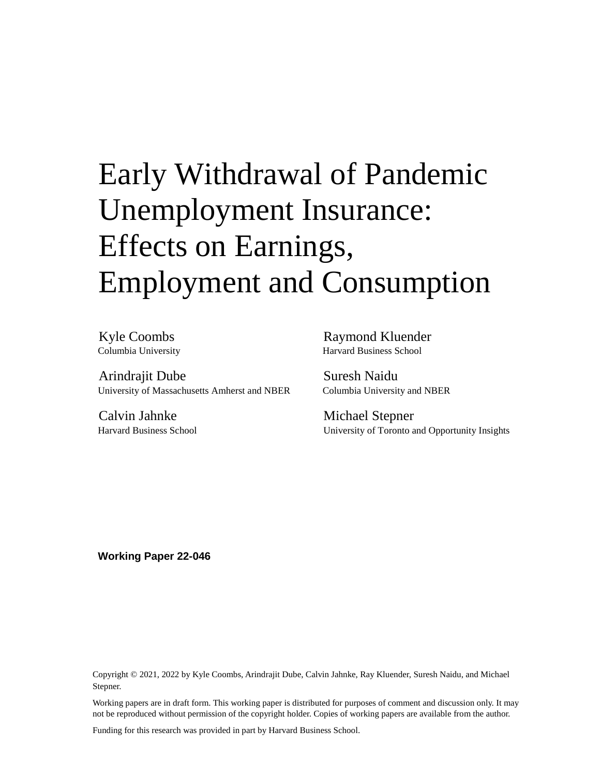# Early Withdrawal of Pandemic Unemployment Insurance: Effects on Earnings, Employment and Consumption

Kyle Coombs Columbia University

Arindrajit Dube University of Massachusetts Amherst and NBER

Calvin Jahnke Harvard Business School

Raymond Kluender Harvard Business School

Suresh Naidu Columbia University and NBER

Michael Stepner University of Toronto and Opportunity Insights

**Working Paper 22-046**

Copyright © 2021, 2022 by Kyle Coombs, Arindrajit Dube, Calvin Jahnke, Ray Kluender, Suresh Naidu, and Michael Stepner.

Working papers are in draft form. This working paper is distributed for purposes of comment and discussion only. It may not be reproduced without permission of the copyright holder. Copies of working papers are available from the author.

Funding for this research was provided in part by Harvard Business School.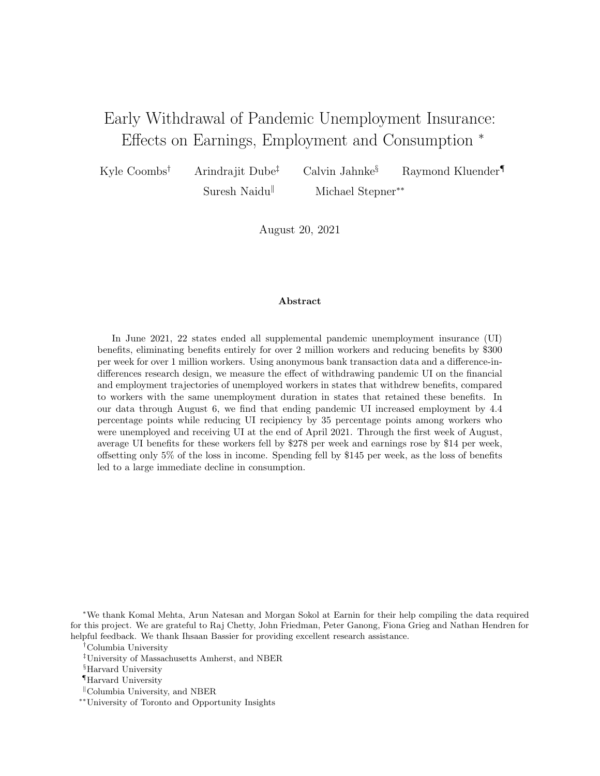# Early Withdrawal of Pandemic Unemployment Insurance: Effects on Earnings, Employment and Consumption <sup>∗</sup>

Kyle Coombs<sup>†</sup> Arindrajit Dube<sup>‡</sup> Calvin Jahnke<sup>§</sup> Raymond Kluender<sup>¶</sup> Suresh Naidu<sup>||</sup> Michael Stepner<sup>∗∗</sup>

August 20, 2021

# Abstract

In June 2021, 22 states ended all supplemental pandemic unemployment insurance (UI) benefits, eliminating benefits entirely for over 2 million workers and reducing benefits by \$300 per week for over 1 million workers. Using anonymous bank transaction data and a difference-indifferences research design, we measure the effect of withdrawing pandemic UI on the financial and employment trajectories of unemployed workers in states that withdrew benefits, compared to workers with the same unemployment duration in states that retained these benefits. In our data through August 6, we find that ending pandemic UI increased employment by 4.4 percentage points while reducing UI recipiency by 35 percentage points among workers who were unemployed and receiving UI at the end of April 2021. Through the first week of August, average UI benefits for these workers fell by \$278 per week and earnings rose by \$14 per week, offsetting only 5% of the loss in income. Spending fell by \$145 per week, as the loss of benefits led to a large immediate decline in consumption.

<sup>∗</sup>We thank Komal Mehta, Arun Natesan and Morgan Sokol at Earnin for their help compiling the data required for this project. We are grateful to Raj Chetty, John Friedman, Peter Ganong, Fiona Grieg and Nathan Hendren for helpful feedback. We thank Ihsaan Bassier for providing excellent research assistance.

†Columbia University

‡University of Massachusetts Amherst, and NBER

§Harvard University

¶Harvard University

 $\mathbb{C}$ Columbia University, and NBER

∗∗University of Toronto and Opportunity Insights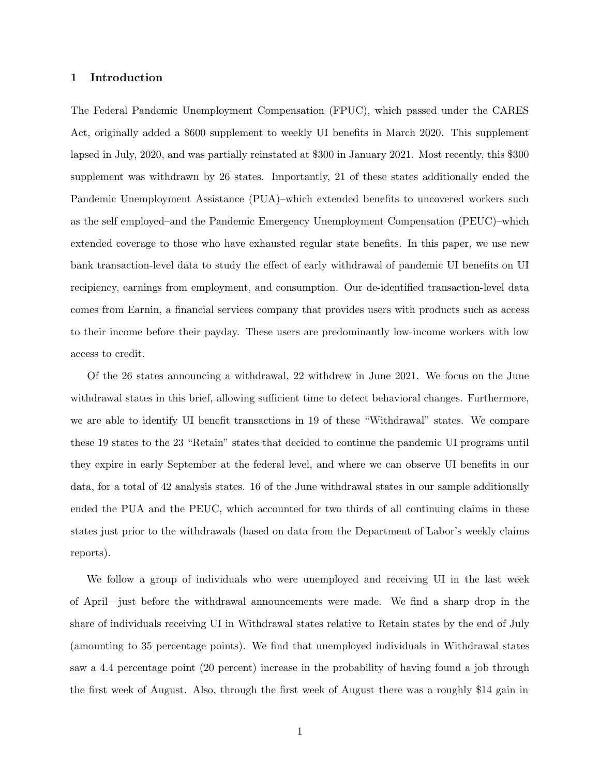# 1 Introduction

The Federal Pandemic Unemployment Compensation (FPUC), which passed under the CARES Act, originally added a \$600 supplement to weekly UI benefits in March 2020. This supplement lapsed in July, 2020, and was partially reinstated at \$300 in January 2021. Most recently, this \$300 supplement was withdrawn by 26 states. Importantly, 21 of these states additionally ended the Pandemic Unemployment Assistance (PUA)–which extended benefits to uncovered workers such as the self employed–and the Pandemic Emergency Unemployment Compensation (PEUC)–which extended coverage to those who have exhausted regular state benefits. In this paper, we use new bank transaction-level data to study the effect of early withdrawal of pandemic UI benefits on UI recipiency, earnings from employment, and consumption. Our de-identified transaction-level data comes from Earnin, a financial services company that provides users with products such as access to their income before their payday. These users are predominantly low-income workers with low access to credit.

Of the 26 states announcing a withdrawal, 22 withdrew in June 2021. We focus on the June withdrawal states in this brief, allowing sufficient time to detect behavioral changes. Furthermore, we are able to identify UI benefit transactions in 19 of these "Withdrawal" states. We compare these 19 states to the 23 "Retain" states that decided to continue the pandemic UI programs until they expire in early September at the federal level, and where we can observe UI benefits in our data, for a total of 42 analysis states. 16 of the June withdrawal states in our sample additionally ended the PUA and the PEUC, which accounted for two thirds of all continuing claims in these states just prior to the withdrawals (based on data from the Department of Labor's weekly claims reports).

We follow a group of individuals who were unemployed and receiving UI in the last week of April—just before the withdrawal announcements were made. We find a sharp drop in the share of individuals receiving UI in Withdrawal states relative to Retain states by the end of July (amounting to 35 percentage points). We find that unemployed individuals in Withdrawal states saw a 4.4 percentage point (20 percent) increase in the probability of having found a job through the first week of August. Also, through the first week of August there was a roughly \$14 gain in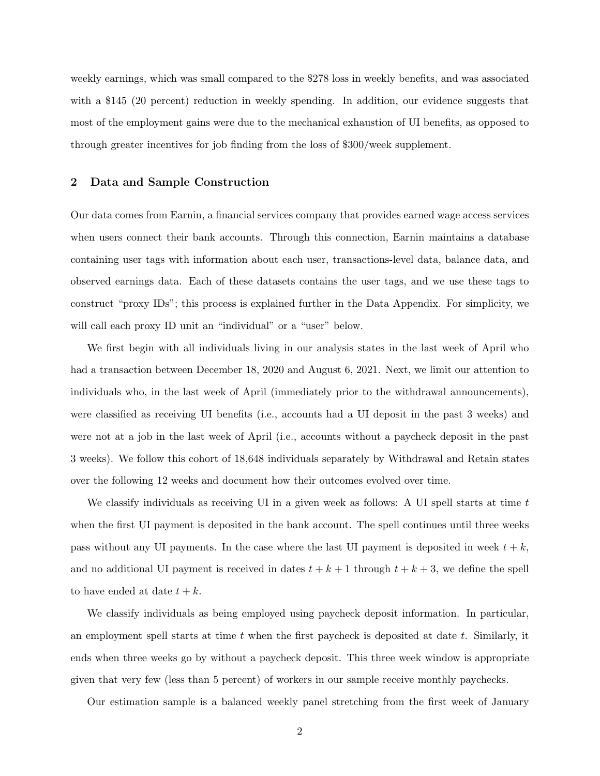weekly earnings, which was small compared to the \$278 loss in weekly benefits, and was associated with a \$145 (20 percent) reduction in weekly spending. In addition, our evidence suggests that most of the employment gains were due to the mechanical exhaustion of UI benefits, as opposed to through greater incentives for job finding from the loss of \$300/week supplement.

## 2 Data and Sample Construction

Our data comes from Earnin, a financial services company that provides earned wage access services when users connect their bank accounts. Through this connection, Earnin maintains a database containing user tags with information about each user, transactions-level data, balance data, and observed earnings data. Each of these datasets contains the user tags, and we use these tags to construct "proxy IDs"; this process is explained further in the Data Appendix. For simplicity, we will call each proxy ID unit an "individual" or a "user" below.

We first begin with all individuals living in our analysis states in the last week of April who had a transaction between December 18, 2020 and August 6, 2021. Next, we limit our attention to individuals who, in the last week of April (immediately prior to the withdrawal announcements), were classified as receiving UI benefits (i.e., accounts had a UI deposit in the past 3 weeks) and were not at a job in the last week of April (i.e., accounts without a paycheck deposit in the past 3 weeks). We follow this cohort of 18,648 individuals separately by Withdrawal and Retain states over the following 12 weeks and document how their outcomes evolved over time.

We classify individuals as receiving UI in a given week as follows: A UI spell starts at time  $t$ when the first UI payment is deposited in the bank account. The spell continues until three weeks pass without any UI payments. In the case where the last UI payment is deposited in week  $t + k$ , and no additional UI payment is received in dates  $t + k + 1$  through  $t + k + 3$ , we define the spell to have ended at date  $t + k$ .

We classify individuals as being employed using paycheck deposit information. In particular, an employment spell starts at time  $t$  when the first paycheck is deposited at date  $t$ . Similarly, it ends when three weeks go by without a paycheck deposit. This three week window is appropriate given that very few (less than 5 percent) of workers in our sample receive monthly paychecks.

Our estimation sample is a balanced weekly panel stretching from the first week of January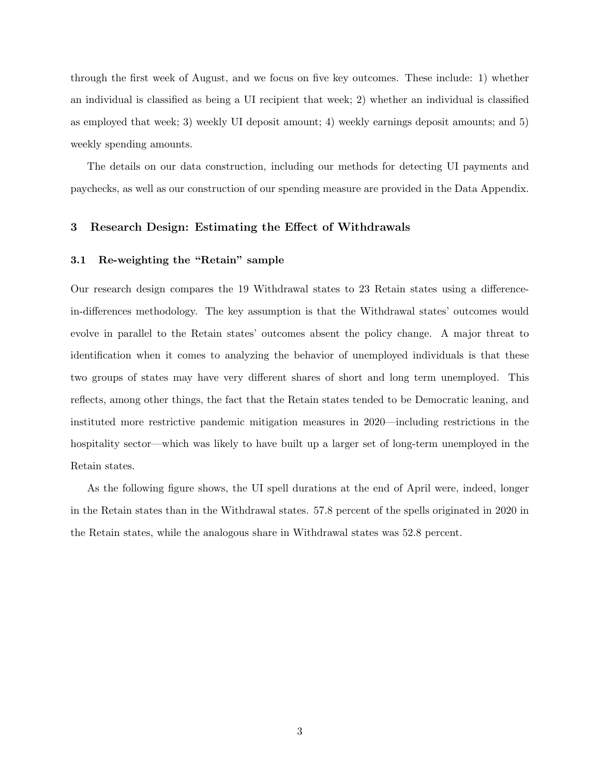through the first week of August, and we focus on five key outcomes. These include: 1) whether an individual is classified as being a UI recipient that week; 2) whether an individual is classified as employed that week; 3) weekly UI deposit amount; 4) weekly earnings deposit amounts; and 5) weekly spending amounts.

The details on our data construction, including our methods for detecting UI payments and paychecks, as well as our construction of our spending measure are provided in the Data Appendix.

# 3 Research Design: Estimating the Effect of Withdrawals

#### 3.1 Re-weighting the "Retain" sample

Our research design compares the 19 Withdrawal states to 23 Retain states using a differencein-differences methodology. The key assumption is that the Withdrawal states' outcomes would evolve in parallel to the Retain states' outcomes absent the policy change. A major threat to identification when it comes to analyzing the behavior of unemployed individuals is that these two groups of states may have very different shares of short and long term unemployed. This reflects, among other things, the fact that the Retain states tended to be Democratic leaning, and instituted more restrictive pandemic mitigation measures in 2020—including restrictions in the hospitality sector—which was likely to have built up a larger set of long-term unemployed in the Retain states.

As the following figure shows, the UI spell durations at the end of April were, indeed, longer in the Retain states than in the Withdrawal states. 57.8 percent of the spells originated in 2020 in the Retain states, while the analogous share in Withdrawal states was 52.8 percent.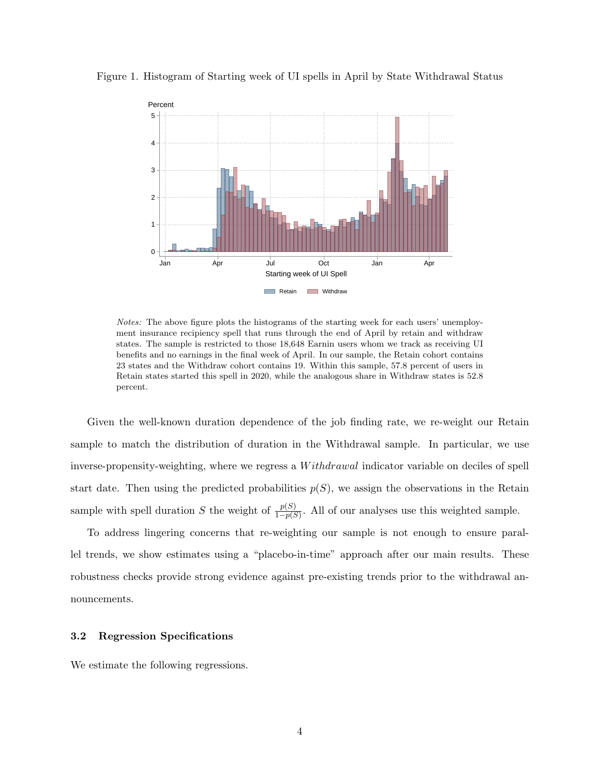

Figure 1. Histogram of Starting week of UI spells in April by State Withdrawal Status

Notes: The above figure plots the histograms of the starting week for each users' unemployment insurance recipiency spell that runs through the end of April by retain and withdraw states. The sample is restricted to those 18,648 Earnin users whom we track as receiving UI benefits and no earnings in the final week of April. In our sample, the Retain cohort contains 23 states and the Withdraw cohort contains 19. Within this sample, 57.8 percent of users in Retain states started this spell in 2020, while the analogous share in Withdraw states is 52.8 percent.

Given the well-known duration dependence of the job finding rate, we re-weight our Retain sample to match the distribution of duration in the Withdrawal sample. In particular, we use inverse-propensity-weighting, where we regress a *Withdrawal* indicator variable on deciles of spell start date. Then using the predicted probabilities  $p(S)$ , we assign the observations in the Retain sample with spell duration S the weight of  $\frac{p(S)}{1-p(S)}$ . All of our analyses use this weighted sample.

To address lingering concerns that re-weighting our sample is not enough to ensure parallel trends, we show estimates using a "placebo-in-time" approach after our main results. These robustness checks provide strong evidence against pre-existing trends prior to the withdrawal announcements.

#### 3.2 Regression Specifications

We estimate the following regressions.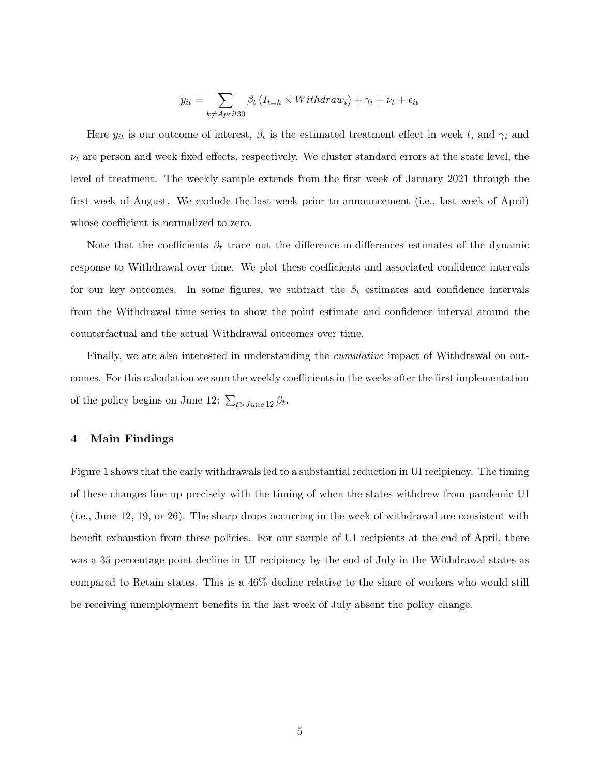$$
y_{it} = \sum_{k \neq April30} \beta_t \left(I_{t=k} \times Without_{i} + \gamma_i + \nu_t + \epsilon_{it}\right)
$$

Here  $y_{it}$  is our outcome of interest,  $\beta_t$  is the estimated treatment effect in week t, and  $\gamma_i$  and  $\nu_t$  are person and week fixed effects, respectively. We cluster standard errors at the state level, the level of treatment. The weekly sample extends from the first week of January 2021 through the first week of August. We exclude the last week prior to announcement (i.e., last week of April) whose coefficient is normalized to zero.

Note that the coefficients  $\beta_t$  trace out the difference-in-differences estimates of the dynamic response to Withdrawal over time. We plot these coefficients and associated confidence intervals for our key outcomes. In some figures, we subtract the  $\beta_t$  estimates and confidence intervals from the Withdrawal time series to show the point estimate and confidence interval around the counterfactual and the actual Withdrawal outcomes over time.

Finally, we are also interested in understanding the *cumulative* impact of Withdrawal on outcomes. For this calculation we sum the weekly coefficients in the weeks after the first implementation of the policy begins on June 12:  $\sum_{t > June 12} \beta_t$ .

# 4 Main Findings

Figure 1 shows that the early withdrawals led to a substantial reduction in UI recipiency. The timing of these changes line up precisely with the timing of when the states withdrew from pandemic UI (i.e., June 12, 19, or 26). The sharp drops occurring in the week of withdrawal are consistent with benefit exhaustion from these policies. For our sample of UI recipients at the end of April, there was a 35 percentage point decline in UI recipiency by the end of July in the Withdrawal states as compared to Retain states. This is a 46% decline relative to the share of workers who would still be receiving unemployment benefits in the last week of July absent the policy change.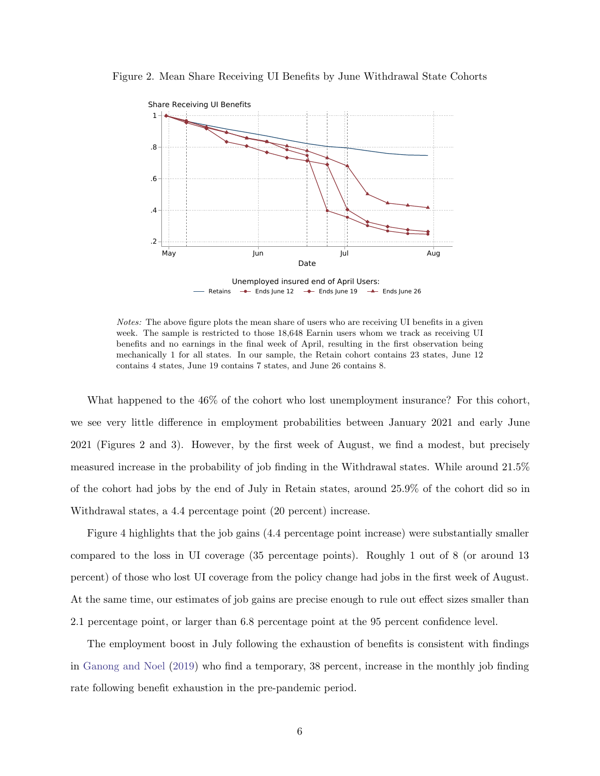

Figure 2. Mean Share Receiving UI Benefits by June Withdrawal State Cohorts

Retains  $\rightarrow$  Ends June 12  $\rightarrow$  Ends June 19  $\rightarrow$  Ends June 26 Unemployed insured end of April Users:

Notes: The above figure plots the mean share of users who are receiving UI benefits in a given week. The sample is restricted to those 18,648 Earnin users whom we track as receiving UI benefits and no earnings in the final week of April, resulting in the first observation being mechanically 1 for all states. In our sample, the Retain cohort contains 23 states, June 12 contains 4 states, June 19 contains 7 states, and June 26 contains 8.

What happened to the 46% of the cohort who lost unemployment insurance? For this cohort, we see very little difference in employment probabilities between January 2021 and early June 2021 (Figures 2 and 3). However, by the first week of August, we find a modest, but precisely measured increase in the probability of job finding in the Withdrawal states. While around 21.5% of the cohort had jobs by the end of July in Retain states, around 25.9% of the cohort did so in Withdrawal states, a 4.4 percentage point (20 percent) increase.

Figure 4 highlights that the job gains (4.4 percentage point increase) were substantially smaller compared to the loss in UI coverage (35 percentage points). Roughly 1 out of 8 (or around 13 percent) of those who lost UI coverage from the policy change had jobs in the first week of August. At the same time, our estimates of job gains are precise enough to rule out effect sizes smaller than 2.1 percentage point, or larger than 6.8 percentage point at the 95 percent confidence level.

The employment boost in July following the exhaustion of benefits is consistent with findings in [Ganong and Noel](#page-29-0) [\(2019\)](#page-29-0) who find a temporary, 38 percent, increase in the monthly job finding rate following benefit exhaustion in the pre-pandemic period.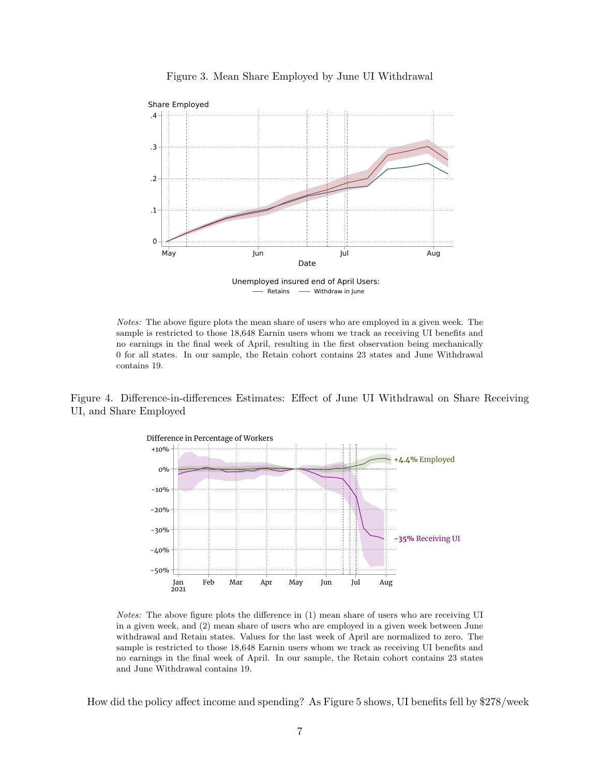

Figure 3. Mean Share Employed by June UI Withdrawal

- Retains - Withdraw in June Unemployed insured end of April Users:

Notes: The above figure plots the mean share of users who are employed in a given week. The sample is restricted to those 18,648 Earnin users whom we track as receiving UI benefits and no earnings in the final week of April, resulting in the first observation being mechanically 0 for all states. In our sample, the Retain cohort contains 23 states and June Withdrawal contains 19.

Figure 4. Difference-in-differences Estimates: Effect of June UI Withdrawal on Share Receiving UI, and Share Employed



Notes: The above figure plots the difference in (1) mean share of users who are receiving UI in a given week, and (2) mean share of users who are employed in a given week between June withdrawal and Retain states. Values for the last week of April are normalized to zero. The sample is restricted to those 18,648 Earnin users whom we track as receiving UI benefits and no earnings in the final week of April. In our sample, the Retain cohort contains 23 states and June Withdrawal contains 19.

How did the policy affect income and spending? As Figure 5 shows, UI benefits fell by \$278/week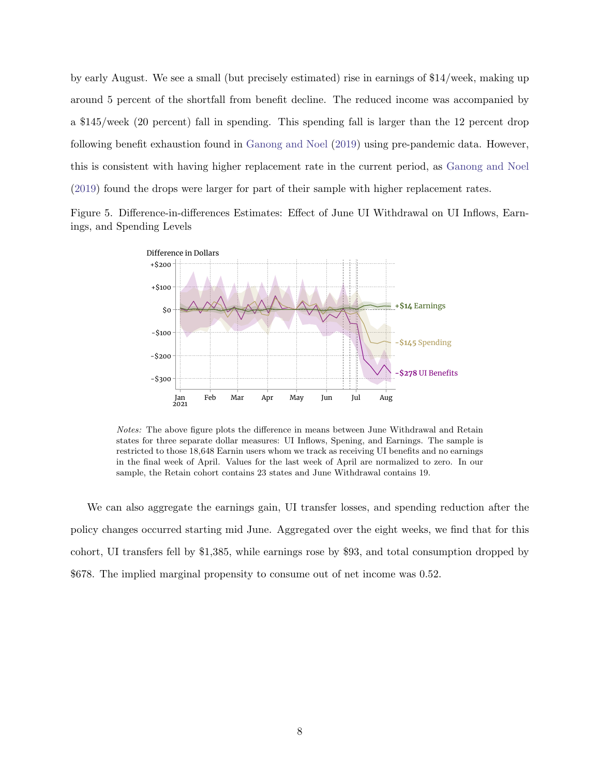by early August. We see a small (but precisely estimated) rise in earnings of \$14/week, making up around 5 percent of the shortfall from benefit decline. The reduced income was accompanied by a \$145/week (20 percent) fall in spending. This spending fall is larger than the 12 percent drop following benefit exhaustion found in [Ganong and Noel](#page-29-0) [\(2019\)](#page-29-0) using pre-pandemic data. However, this is consistent with having higher replacement rate in the current period, as [Ganong and Noel](#page-29-0) [\(2019\)](#page-29-0) found the drops were larger for part of their sample with higher replacement rates.

Figure 5. Difference-in-differences Estimates: Effect of June UI Withdrawal on UI Inflows, Earnings, and Spending Levels



Notes: The above figure plots the difference in means between June Withdrawal and Retain states for three separate dollar measures: UI Inflows, Spening, and Earnings. The sample is restricted to those 18,648 Earnin users whom we track as receiving UI benefits and no earnings in the final week of April. Values for the last week of April are normalized to zero. In our sample, the Retain cohort contains 23 states and June Withdrawal contains 19.

We can also aggregate the earnings gain, UI transfer losses, and spending reduction after the policy changes occurred starting mid June. Aggregated over the eight weeks, we find that for this cohort, UI transfers fell by \$1,385, while earnings rose by \$93, and total consumption dropped by \$678. The implied marginal propensity to consume out of net income was 0.52.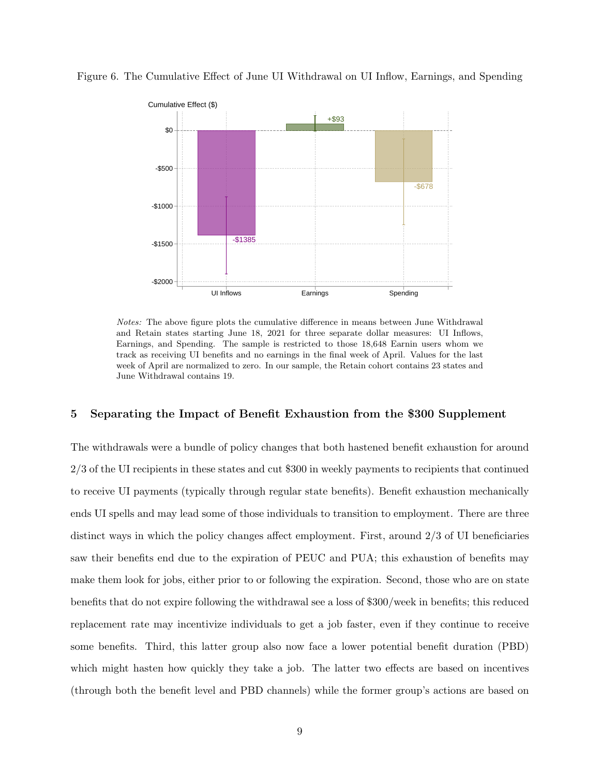

Figure 6. The Cumulative Effect of June UI Withdrawal on UI Inflow, Earnings, and Spending

Notes: The above figure plots the cumulative difference in means between June Withdrawal and Retain states starting June 18, 2021 for three separate dollar measures: UI Inflows, Earnings, and Spending. The sample is restricted to those 18,648 Earnin users whom we track as receiving UI benefits and no earnings in the final week of April. Values for the last week of April are normalized to zero. In our sample, the Retain cohort contains 23 states and June Withdrawal contains 19.

# 5 Separating the Impact of Benefit Exhaustion from the \$300 Supplement

The withdrawals were a bundle of policy changes that both hastened benefit exhaustion for around 2/3 of the UI recipients in these states and cut \$300 in weekly payments to recipients that continued to receive UI payments (typically through regular state benefits). Benefit exhaustion mechanically ends UI spells and may lead some of those individuals to transition to employment. There are three distinct ways in which the policy changes affect employment. First, around 2/3 of UI beneficiaries saw their benefits end due to the expiration of PEUC and PUA; this exhaustion of benefits may make them look for jobs, either prior to or following the expiration. Second, those who are on state benefits that do not expire following the withdrawal see a loss of \$300/week in benefits; this reduced replacement rate may incentivize individuals to get a job faster, even if they continue to receive some benefits. Third, this latter group also now face a lower potential benefit duration (PBD) which might hasten how quickly they take a job. The latter two effects are based on incentives (through both the benefit level and PBD channels) while the former group's actions are based on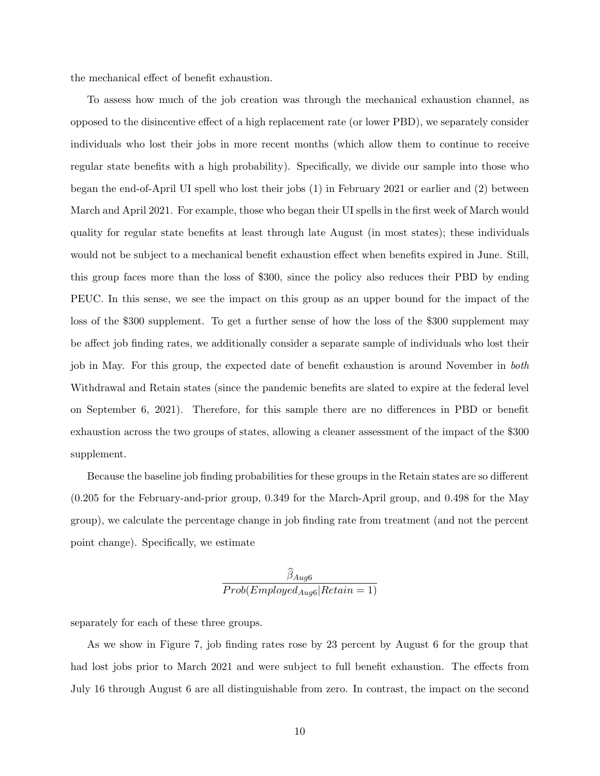the mechanical effect of benefit exhaustion.

To assess how much of the job creation was through the mechanical exhaustion channel, as opposed to the disincentive effect of a high replacement rate (or lower PBD), we separately consider individuals who lost their jobs in more recent months (which allow them to continue to receive regular state benefits with a high probability). Specifically, we divide our sample into those who began the end-of-April UI spell who lost their jobs (1) in February 2021 or earlier and (2) between March and April 2021. For example, those who began their UI spells in the first week of March would quality for regular state benefits at least through late August (in most states); these individuals would not be subject to a mechanical benefit exhaustion effect when benefits expired in June. Still, this group faces more than the loss of \$300, since the policy also reduces their PBD by ending PEUC. In this sense, we see the impact on this group as an upper bound for the impact of the loss of the \$300 supplement. To get a further sense of how the loss of the \$300 supplement may be affect job finding rates, we additionally consider a separate sample of individuals who lost their job in May. For this group, the expected date of benefit exhaustion is around November in both Withdrawal and Retain states (since the pandemic benefits are slated to expire at the federal level on September 6, 2021). Therefore, for this sample there are no differences in PBD or benefit exhaustion across the two groups of states, allowing a cleaner assessment of the impact of the \$300 supplement.

Because the baseline job finding probabilities for these groups in the Retain states are so different (0.205 for the February-and-prior group, 0.349 for the March-April group, and 0.498 for the May group), we calculate the percentage change in job finding rate from treatment (and not the percent point change). Specifically, we estimate

$$
\frac{\beta_{Aug6}}{Prob(Emploged_{Aug6}|Retain=1)}
$$

separately for each of these three groups.

As we show in Figure 7, job finding rates rose by 23 percent by August 6 for the group that had lost jobs prior to March 2021 and were subject to full benefit exhaustion. The effects from July 16 through August 6 are all distinguishable from zero. In contrast, the impact on the second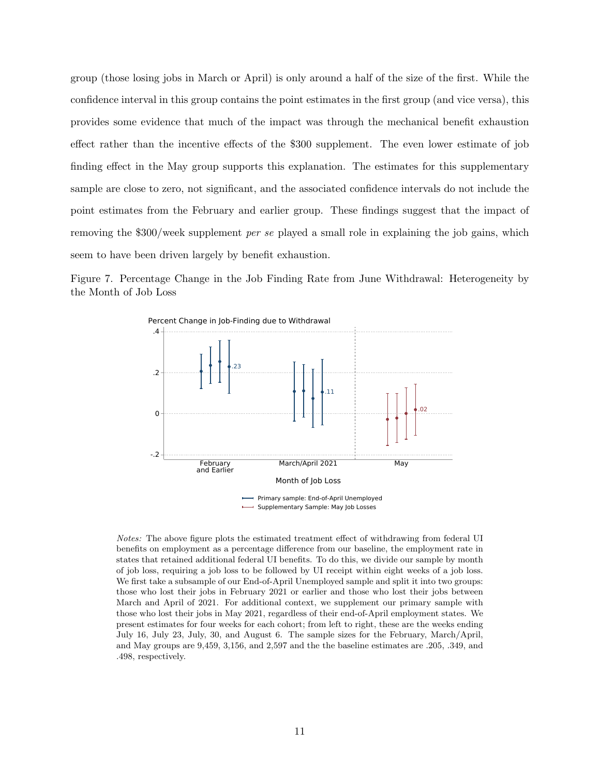group (those losing jobs in March or April) is only around a half of the size of the first. While the confidence interval in this group contains the point estimates in the first group (and vice versa), this provides some evidence that much of the impact was through the mechanical benefit exhaustion effect rather than the incentive effects of the \$300 supplement. The even lower estimate of job finding effect in the May group supports this explanation. The estimates for this supplementary sample are close to zero, not significant, and the associated confidence intervals do not include the point estimates from the February and earlier group. These findings suggest that the impact of removing the \$300/week supplement per se played a small role in explaining the job gains, which seem to have been driven largely by benefit exhaustion.

Figure 7. Percentage Change in the Job Finding Rate from June Withdrawal: Heterogeneity by the Month of Job Loss



Notes: The above figure plots the estimated treatment effect of withdrawing from federal UI benefits on employment as a percentage difference from our baseline, the employment rate in states that retained additional federal UI benefits. To do this, we divide our sample by month of job loss, requiring a job loss to be followed by UI receipt within eight weeks of a job loss. We first take a subsample of our End-of-April Unemployed sample and split it into two groups: those who lost their jobs in February 2021 or earlier and those who lost their jobs between March and April of 2021. For additional context, we supplement our primary sample with those who lost their jobs in May 2021, regardless of their end-of-April employment states. We present estimates for four weeks for each cohort; from left to right, these are the weeks ending July 16, July 23, July, 30, and August 6. The sample sizes for the February, March/April, and May groups are 9,459, 3,156, and 2,597 and the the baseline estimates are .205, .349, and .498, respectively.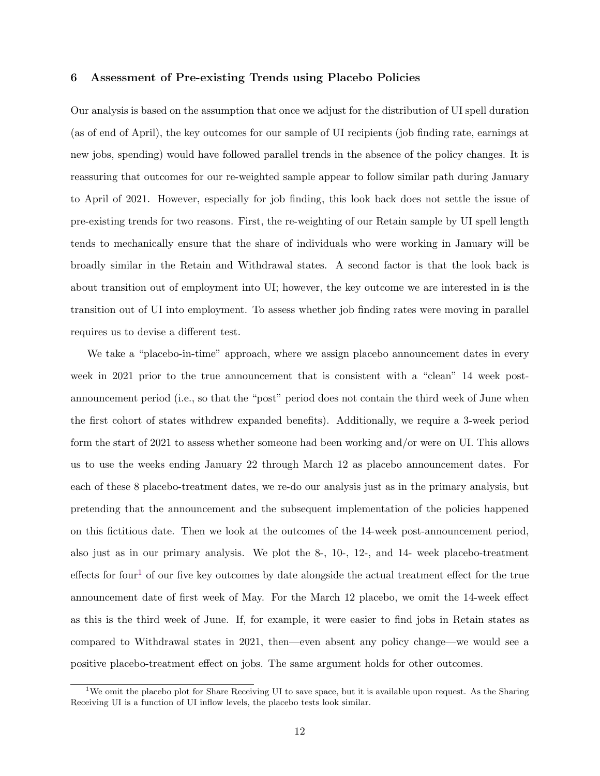# 6 Assessment of Pre-existing Trends using Placebo Policies

Our analysis is based on the assumption that once we adjust for the distribution of UI spell duration (as of end of April), the key outcomes for our sample of UI recipients (job finding rate, earnings at new jobs, spending) would have followed parallel trends in the absence of the policy changes. It is reassuring that outcomes for our re-weighted sample appear to follow similar path during January to April of 2021. However, especially for job finding, this look back does not settle the issue of pre-existing trends for two reasons. First, the re-weighting of our Retain sample by UI spell length tends to mechanically ensure that the share of individuals who were working in January will be broadly similar in the Retain and Withdrawal states. A second factor is that the look back is about transition out of employment into UI; however, the key outcome we are interested in is the transition out of UI into employment. To assess whether job finding rates were moving in parallel requires us to devise a different test.

We take a "placebo-in-time" approach, where we assign placebo announcement dates in every week in 2021 prior to the true announcement that is consistent with a "clean" 14 week postannouncement period (i.e., so that the "post" period does not contain the third week of June when the first cohort of states withdrew expanded benefits). Additionally, we require a 3-week period form the start of 2021 to assess whether someone had been working and/or were on UI. This allows us to use the weeks ending January 22 through March 12 as placebo announcement dates. For each of these 8 placebo-treatment dates, we re-do our analysis just as in the primary analysis, but pretending that the announcement and the subsequent implementation of the policies happened on this fictitious date. Then we look at the outcomes of the 14-week post-announcement period, also just as in our primary analysis. We plot the 8-, 10-, 12-, and 14- week placebo-treatment effects for four<sup>[1](#page-14-0)</sup> of our five key outcomes by date alongside the actual treatment effect for the true announcement date of first week of May. For the March 12 placebo, we omit the 14-week effect as this is the third week of June. If, for example, it were easier to find jobs in Retain states as compared to Withdrawal states in 2021, then—even absent any policy change—we would see a positive placebo-treatment effect on jobs. The same argument holds for other outcomes.

<span id="page-14-0"></span><sup>&</sup>lt;sup>1</sup>We omit the placebo plot for Share Receiving UI to save space, but it is available upon request. As the Sharing Receiving UI is a function of UI inflow levels, the placebo tests look similar.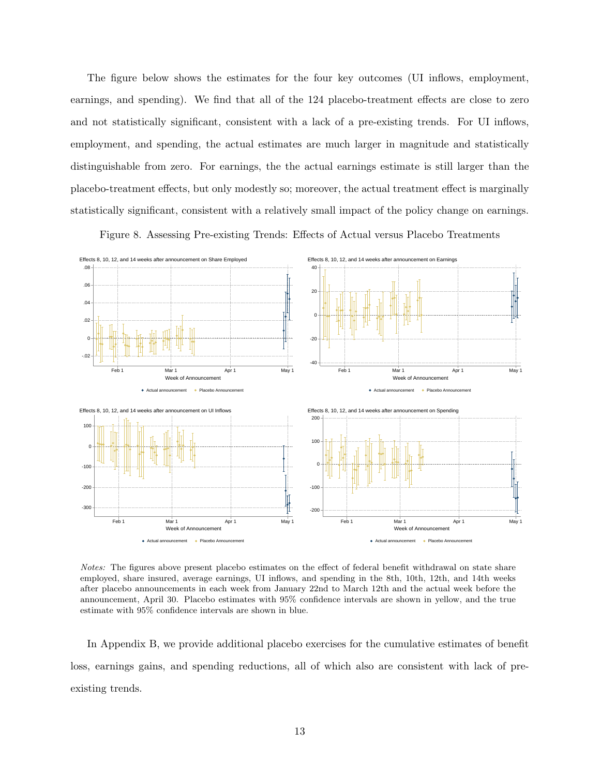The figure below shows the estimates for the four key outcomes (UI inflows, employment, earnings, and spending). We find that all of the 124 placebo-treatment effects are close to zero and not statistically significant, consistent with a lack of a pre-existing trends. For UI inflows, employment, and spending, the actual estimates are much larger in magnitude and statistically distinguishable from zero. For earnings, the the actual earnings estimate is still larger than the placebo-treatment effects, but only modestly so; moreover, the actual treatment effect is marginally statistically significant, consistent with a relatively small impact of the policy change on earnings.

Figure 8. Assessing Pre-existing Trends: Effects of Actual versus Placebo Treatments



Notes: The figures above present placebo estimates on the effect of federal benefit withdrawal on state share employed, share insured, average earnings, UI inflows, and spending in the 8th, 10th, 12th, and 14th weeks after placebo announcements in each week from January 22nd to March 12th and the actual week before the announcement, April 30. Placebo estimates with 95% confidence intervals are shown in yellow, and the true estimate with 95% confidence intervals are shown in blue.

In Appendix B, we provide additional placebo exercises for the cumulative estimates of benefit loss, earnings gains, and spending reductions, all of which also are consistent with lack of preexisting trends.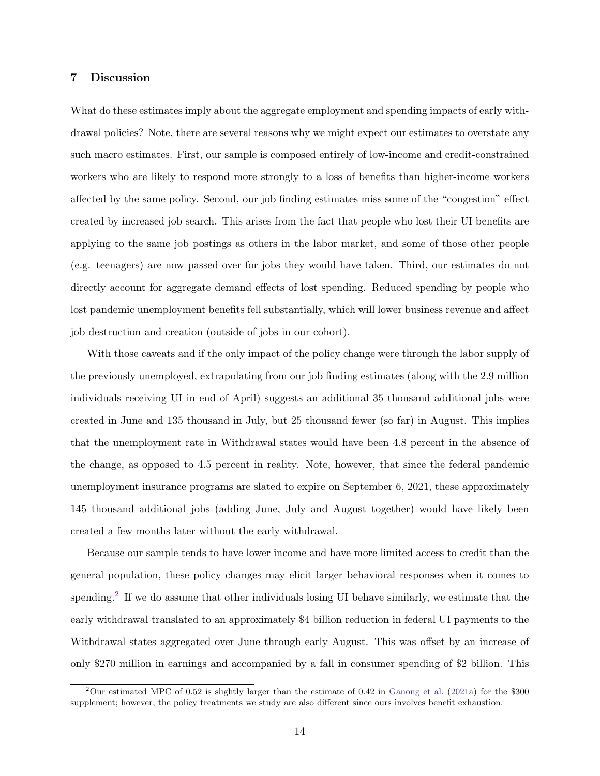# 7 Discussion

What do these estimates imply about the aggregate employment and spending impacts of early withdrawal policies? Note, there are several reasons why we might expect our estimates to overstate any such macro estimates. First, our sample is composed entirely of low-income and credit-constrained workers who are likely to respond more strongly to a loss of benefits than higher-income workers affected by the same policy. Second, our job finding estimates miss some of the "congestion" effect created by increased job search. This arises from the fact that people who lost their UI benefits are applying to the same job postings as others in the labor market, and some of those other people (e.g. teenagers) are now passed over for jobs they would have taken. Third, our estimates do not directly account for aggregate demand effects of lost spending. Reduced spending by people who lost pandemic unemployment benefits fell substantially, which will lower business revenue and affect job destruction and creation (outside of jobs in our cohort).

With those caveats and if the only impact of the policy change were through the labor supply of the previously unemployed, extrapolating from our job finding estimates (along with the 2.9 million individuals receiving UI in end of April) suggests an additional 35 thousand additional jobs were created in June and 135 thousand in July, but 25 thousand fewer (so far) in August. This implies that the unemployment rate in Withdrawal states would have been 4.8 percent in the absence of the change, as opposed to 4.5 percent in reality. Note, however, that since the federal pandemic unemployment insurance programs are slated to expire on September 6, 2021, these approximately 145 thousand additional jobs (adding June, July and August together) would have likely been created a few months later without the early withdrawal.

Because our sample tends to have lower income and have more limited access to credit than the general population, these policy changes may elicit larger behavioral responses when it comes to spending.<sup>[2](#page-16-0)</sup> If we do assume that other individuals losing UI behave similarly, we estimate that the early withdrawal translated to an approximately \$4 billion reduction in federal UI payments to the Withdrawal states aggregated over June through early August. This was offset by an increase of only \$270 million in earnings and accompanied by a fall in consumer spending of \$2 billion. This

<span id="page-16-0"></span><sup>&</sup>lt;sup>2</sup>Our estimated MPC of 0.52 is slightly larger than the estimate of 0.42 in [Ganong et al.](#page-29-1) [\(2021a\)](#page-29-1) for the \$300 supplement; however, the policy treatments we study are also different since ours involves benefit exhaustion.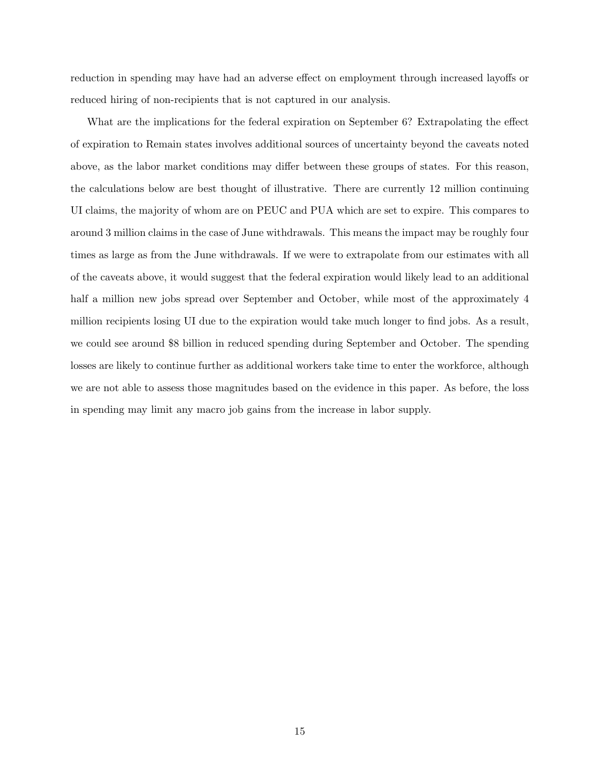reduction in spending may have had an adverse effect on employment through increased layoffs or reduced hiring of non-recipients that is not captured in our analysis.

What are the implications for the federal expiration on September 6? Extrapolating the effect of expiration to Remain states involves additional sources of uncertainty beyond the caveats noted above, as the labor market conditions may differ between these groups of states. For this reason, the calculations below are best thought of illustrative. There are currently 12 million continuing UI claims, the majority of whom are on PEUC and PUA which are set to expire. This compares to around 3 million claims in the case of June withdrawals. This means the impact may be roughly four times as large as from the June withdrawals. If we were to extrapolate from our estimates with all of the caveats above, it would suggest that the federal expiration would likely lead to an additional half a million new jobs spread over September and October, while most of the approximately 4 million recipients losing UI due to the expiration would take much longer to find jobs. As a result, we could see around \$8 billion in reduced spending during September and October. The spending losses are likely to continue further as additional workers take time to enter the workforce, although we are not able to assess those magnitudes based on the evidence in this paper. As before, the loss in spending may limit any macro job gains from the increase in labor supply.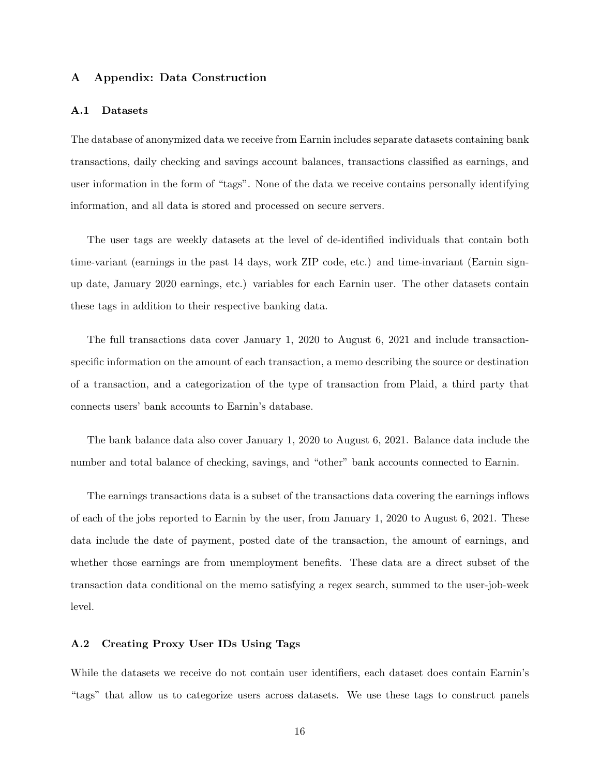# A Appendix: Data Construction

#### A.1 Datasets

The database of anonymized data we receive from Earnin includes separate datasets containing bank transactions, daily checking and savings account balances, transactions classified as earnings, and user information in the form of "tags". None of the data we receive contains personally identifying information, and all data is stored and processed on secure servers.

The user tags are weekly datasets at the level of de-identified individuals that contain both time-variant (earnings in the past 14 days, work ZIP code, etc.) and time-invariant (Earnin signup date, January 2020 earnings, etc.) variables for each Earnin user. The other datasets contain these tags in addition to their respective banking data.

The full transactions data cover January 1, 2020 to August 6, 2021 and include transactionspecific information on the amount of each transaction, a memo describing the source or destination of a transaction, and a categorization of the type of transaction from Plaid, a third party that connects users' bank accounts to Earnin's database.

The bank balance data also cover January 1, 2020 to August 6, 2021. Balance data include the number and total balance of checking, savings, and "other" bank accounts connected to Earnin.

The earnings transactions data is a subset of the transactions data covering the earnings inflows of each of the jobs reported to Earnin by the user, from January 1, 2020 to August 6, 2021. These data include the date of payment, posted date of the transaction, the amount of earnings, and whether those earnings are from unemployment benefits. These data are a direct subset of the transaction data conditional on the memo satisfying a regex search, summed to the user-job-week level.

#### A.2 Creating Proxy User IDs Using Tags

While the datasets we receive do not contain user identifiers, each dataset does contain Earnin's "tags" that allow us to categorize users across datasets. We use these tags to construct panels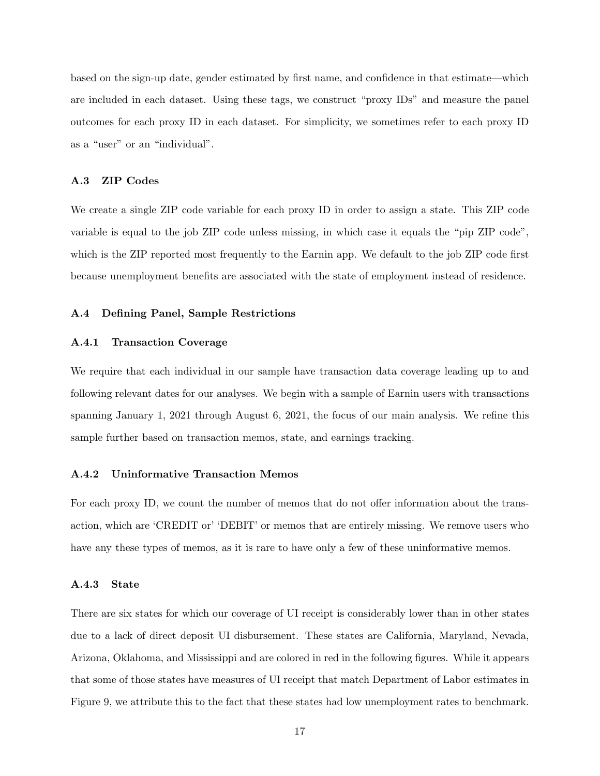based on the sign-up date, gender estimated by first name, and confidence in that estimate—which are included in each dataset. Using these tags, we construct "proxy IDs" and measure the panel outcomes for each proxy ID in each dataset. For simplicity, we sometimes refer to each proxy ID as a "user" or an "individual".

#### A.3 ZIP Codes

We create a single ZIP code variable for each proxy ID in order to assign a state. This ZIP code variable is equal to the job ZIP code unless missing, in which case it equals the "pip ZIP code", which is the ZIP reported most frequently to the Earnin app. We default to the job ZIP code first because unemployment benefits are associated with the state of employment instead of residence.

#### A.4 Defining Panel, Sample Restrictions

# A.4.1 Transaction Coverage

We require that each individual in our sample have transaction data coverage leading up to and following relevant dates for our analyses. We begin with a sample of Earnin users with transactions spanning January 1, 2021 through August 6, 2021, the focus of our main analysis. We refine this sample further based on transaction memos, state, and earnings tracking.

# A.4.2 Uninformative Transaction Memos

For each proxy ID, we count the number of memos that do not offer information about the transaction, which are 'CREDIT or' 'DEBIT' or memos that are entirely missing. We remove users who have any these types of memos, as it is rare to have only a few of these uninformative memos.

#### A.4.3 State

There are six states for which our coverage of UI receipt is considerably lower than in other states due to a lack of direct deposit UI disbursement. These states are California, Maryland, Nevada, Arizona, Oklahoma, and Mississippi and are colored in red in the following figures. While it appears that some of those states have measures of UI receipt that match Department of Labor estimates in Figure 9, we attribute this to the fact that these states had low unemployment rates to benchmark.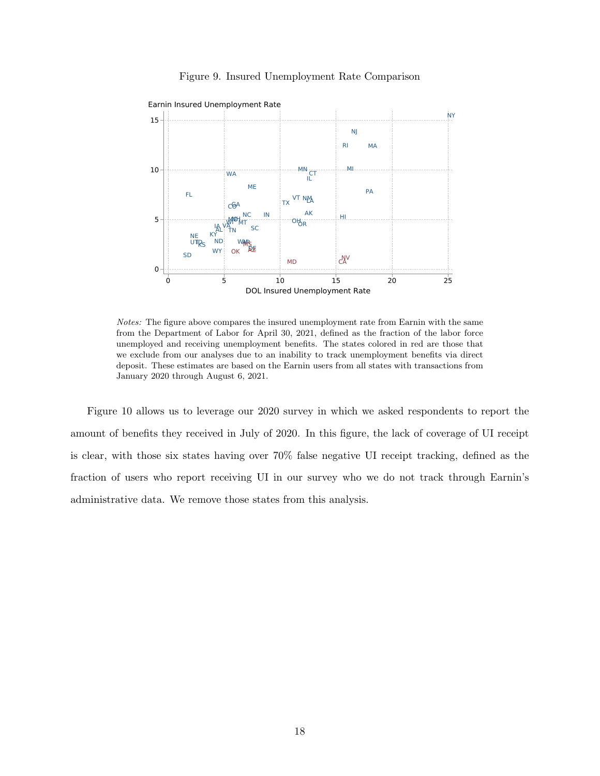

#### Figure 9. Insured Unemployment Rate Comparison

Notes: The figure above compares the insured unemployment rate from Earnin with the same from the Department of Labor for April 30, 2021, defined as the fraction of the labor force unemployed and receiving unemployment benefits. The states colored in red are those that we exclude from our analyses due to an inability to track unemployment benefits via direct deposit. These estimates are based on the Earnin users from all states with transactions from January 2020 through August 6, 2021.

Figure 10 allows us to leverage our 2020 survey in which we asked respondents to report the amount of benefits they received in July of 2020. In this figure, the lack of coverage of UI receipt is clear, with those six states having over 70% false negative UI receipt tracking, defined as the fraction of users who report receiving UI in our survey who we do not track through Earnin's administrative data. We remove those states from this analysis.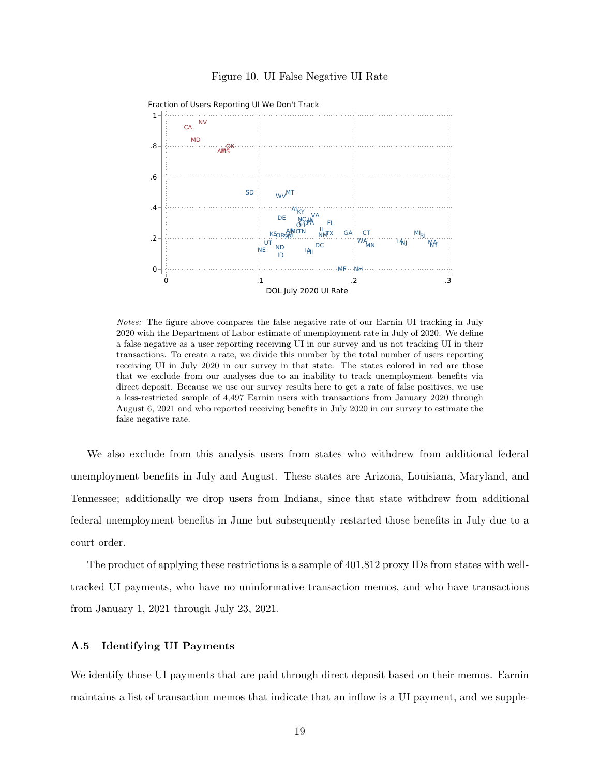#### Figure 10. UI False Negative UI Rate



Fraction of Users Reporting UI We Don't Track

Notes: The figure above compares the false negative rate of our Earnin UI tracking in July 2020 with the Department of Labor estimate of unemployment rate in July of 2020. We define a false negative as a user reporting receiving UI in our survey and us not tracking UI in their transactions. To create a rate, we divide this number by the total number of users reporting receiving UI in July 2020 in our survey in that state. The states colored in red are those that we exclude from our analyses due to an inability to track unemployment benefits via direct deposit. Because we use our survey results here to get a rate of false positives, we use a less-restricted sample of 4,497 Earnin users with transactions from January 2020 through August 6, 2021 and who reported receiving benefits in July 2020 in our survey to estimate the false negative rate.

We also exclude from this analysis users from states who withdrew from additional federal unemployment benefits in July and August. These states are Arizona, Louisiana, Maryland, and Tennessee; additionally we drop users from Indiana, since that state withdrew from additional federal unemployment benefits in June but subsequently restarted those benefits in July due to a court order.

The product of applying these restrictions is a sample of 401,812 proxy IDs from states with welltracked UI payments, who have no uninformative transaction memos, and who have transactions from January 1, 2021 through July 23, 2021.

#### A.5 Identifying UI Payments

We identify those UI payments that are paid through direct deposit based on their memos. Earnin maintains a list of transaction memos that indicate that an inflow is a UI payment, and we supple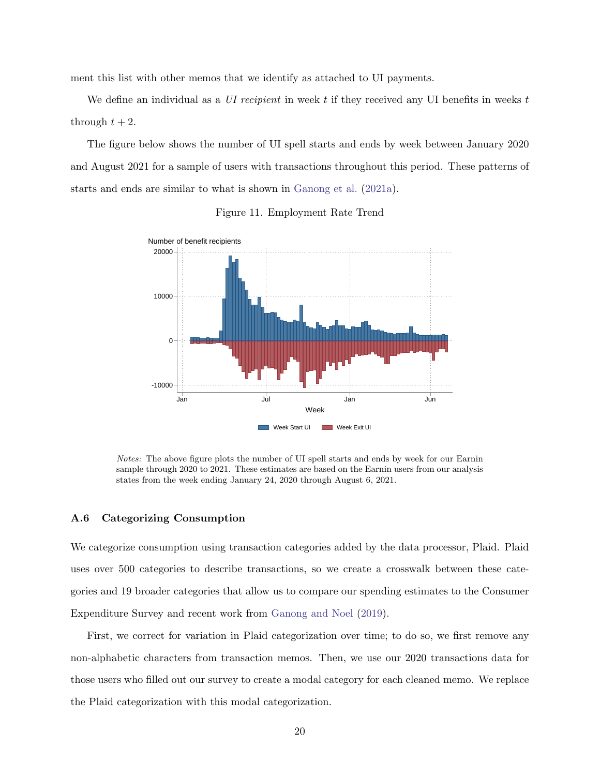ment this list with other memos that we identify as attached to UI payments.

We define an individual as a UI recipient in week t if they received any UI benefits in weeks  $t$ through  $t + 2$ .

The figure below shows the number of UI spell starts and ends by week between January 2020 and August 2021 for a sample of users with transactions throughout this period. These patterns of starts and ends are similar to what is shown in [Ganong et al.](#page-29-1) [\(2021a\)](#page-29-1).



Figure 11. Employment Rate Trend

Notes: The above figure plots the number of UI spell starts and ends by week for our Earnin sample through 2020 to 2021. These estimates are based on the Earnin users from our analysis states from the week ending January 24, 2020 through August 6, 2021.

#### A.6 Categorizing Consumption

We categorize consumption using transaction categories added by the data processor, Plaid. Plaid uses over 500 categories to describe transactions, so we create a crosswalk between these categories and 19 broader categories that allow us to compare our spending estimates to the Consumer Expenditure Survey and recent work from [Ganong and Noel](#page-29-0) [\(2019\)](#page-29-0).

First, we correct for variation in Plaid categorization over time; to do so, we first remove any non-alphabetic characters from transaction memos. Then, we use our 2020 transactions data for those users who filled out our survey to create a modal category for each cleaned memo. We replace the Plaid categorization with this modal categorization.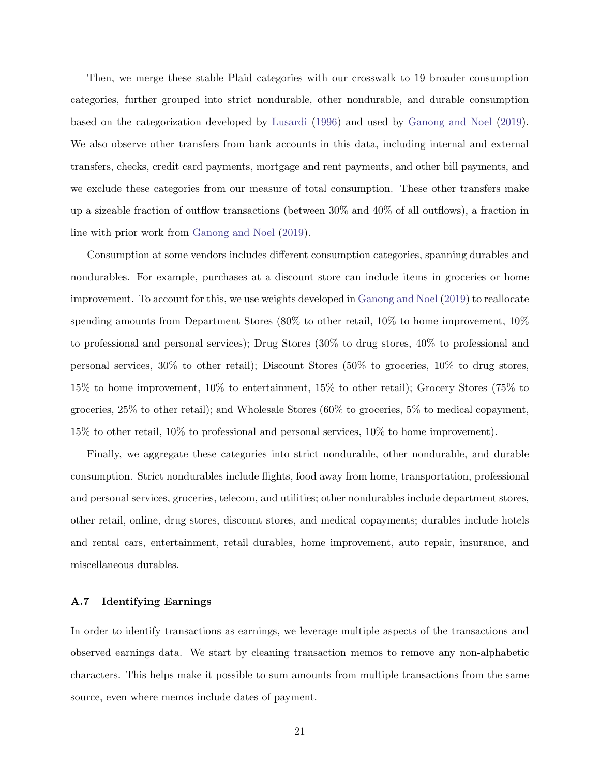Then, we merge these stable Plaid categories with our crosswalk to 19 broader consumption categories, further grouped into strict nondurable, other nondurable, and durable consumption based on the categorization developed by [Lusardi](#page-29-2) [\(1996\)](#page-29-2) and used by [Ganong and Noel](#page-29-0) [\(2019\)](#page-29-0). We also observe other transfers from bank accounts in this data, including internal and external transfers, checks, credit card payments, mortgage and rent payments, and other bill payments, and we exclude these categories from our measure of total consumption. These other transfers make up a sizeable fraction of outflow transactions (between 30% and 40% of all outflows), a fraction in line with prior work from [Ganong and Noel](#page-29-0) [\(2019\)](#page-29-0).

Consumption at some vendors includes different consumption categories, spanning durables and nondurables. For example, purchases at a discount store can include items in groceries or home improvement. To account for this, we use weights developed in [Ganong and Noel](#page-29-0) [\(2019\)](#page-29-0) to reallocate spending amounts from Department Stores (80% to other retail, 10% to home improvement, 10% to professional and personal services); Drug Stores (30% to drug stores, 40% to professional and personal services, 30% to other retail); Discount Stores (50% to groceries, 10% to drug stores, 15% to home improvement, 10% to entertainment, 15% to other retail); Grocery Stores (75% to groceries, 25% to other retail); and Wholesale Stores (60% to groceries, 5% to medical copayment, 15% to other retail, 10% to professional and personal services, 10% to home improvement).

Finally, we aggregate these categories into strict nondurable, other nondurable, and durable consumption. Strict nondurables include flights, food away from home, transportation, professional and personal services, groceries, telecom, and utilities; other nondurables include department stores, other retail, online, drug stores, discount stores, and medical copayments; durables include hotels and rental cars, entertainment, retail durables, home improvement, auto repair, insurance, and miscellaneous durables.

#### A.7 Identifying Earnings

In order to identify transactions as earnings, we leverage multiple aspects of the transactions and observed earnings data. We start by cleaning transaction memos to remove any non-alphabetic characters. This helps make it possible to sum amounts from multiple transactions from the same source, even where memos include dates of payment.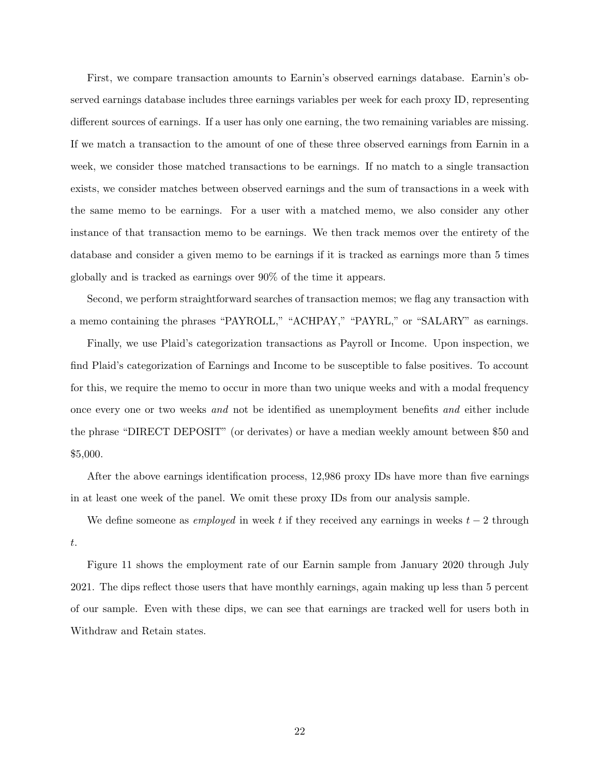First, we compare transaction amounts to Earnin's observed earnings database. Earnin's observed earnings database includes three earnings variables per week for each proxy ID, representing different sources of earnings. If a user has only one earning, the two remaining variables are missing. If we match a transaction to the amount of one of these three observed earnings from Earnin in a week, we consider those matched transactions to be earnings. If no match to a single transaction exists, we consider matches between observed earnings and the sum of transactions in a week with the same memo to be earnings. For a user with a matched memo, we also consider any other instance of that transaction memo to be earnings. We then track memos over the entirety of the database and consider a given memo to be earnings if it is tracked as earnings more than 5 times globally and is tracked as earnings over 90% of the time it appears.

Second, we perform straightforward searches of transaction memos; we flag any transaction with a memo containing the phrases "PAYROLL," "ACHPAY," "PAYRL," or "SALARY" as earnings.

Finally, we use Plaid's categorization transactions as Payroll or Income. Upon inspection, we find Plaid's categorization of Earnings and Income to be susceptible to false positives. To account for this, we require the memo to occur in more than two unique weeks and with a modal frequency once every one or two weeks and not be identified as unemployment benefits and either include the phrase "DIRECT DEPOSIT" (or derivates) or have a median weekly amount between \$50 and \$5,000.

After the above earnings identification process, 12,986 proxy IDs have more than five earnings in at least one week of the panel. We omit these proxy IDs from our analysis sample.

We define someone as *employed* in week t if they received any earnings in weeks  $t - 2$  through t.

Figure 11 shows the employment rate of our Earnin sample from January 2020 through July 2021. The dips reflect those users that have monthly earnings, again making up less than 5 percent of our sample. Even with these dips, we can see that earnings are tracked well for users both in Withdraw and Retain states.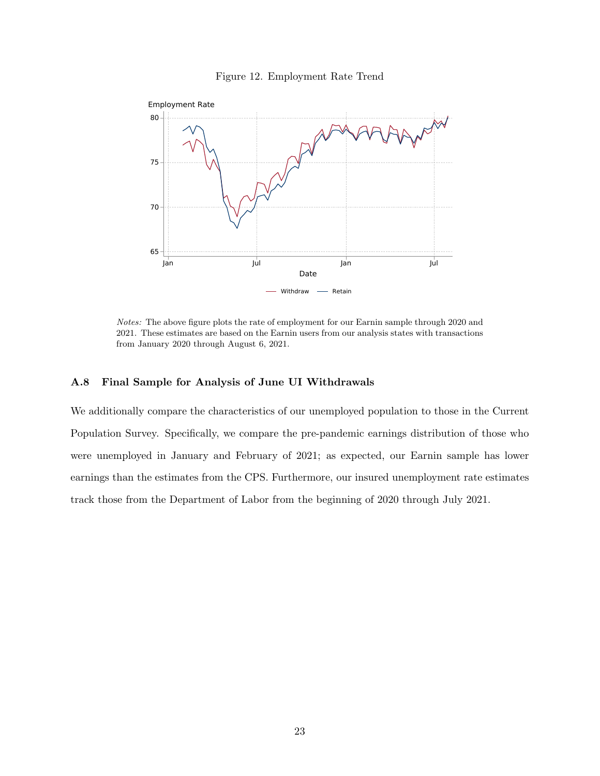



Notes: The above figure plots the rate of employment for our Earnin sample through 2020 and 2021. These estimates are based on the Earnin users from our analysis states with transactions from January 2020 through August 6, 2021.

# A.8 Final Sample for Analysis of June UI Withdrawals

We additionally compare the characteristics of our unemployed population to those in the Current Population Survey. Specifically, we compare the pre-pandemic earnings distribution of those who were unemployed in January and February of 2021; as expected, our Earnin sample has lower earnings than the estimates from the CPS. Furthermore, our insured unemployment rate estimates track those from the Department of Labor from the beginning of 2020 through July 2021.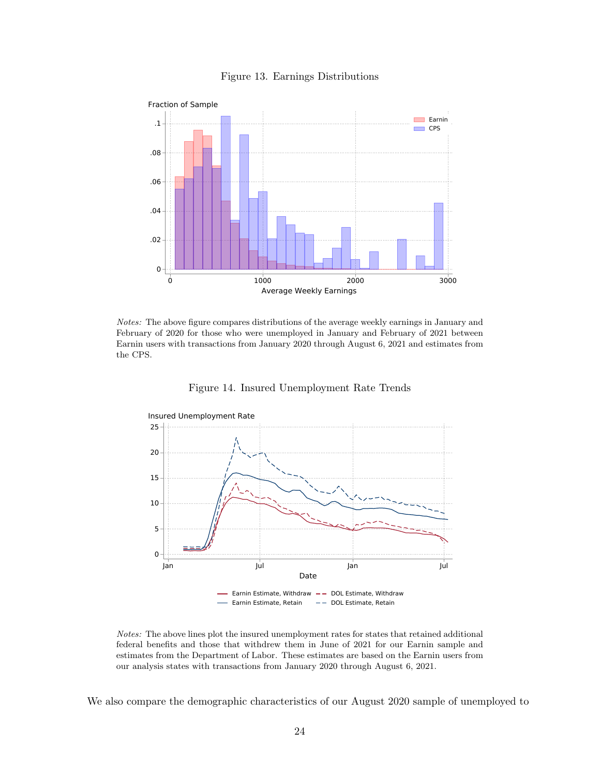

Figure 13. Earnings Distributions

Notes: The above figure compares distributions of the average weekly earnings in January and February of 2020 for those who were unemployed in January and February of 2021 between Earnin users with transactions from January 2020 through August 6, 2021 and estimates from the CPS.





Notes: The above lines plot the insured unemployment rates for states that retained additional federal benefits and those that withdrew them in June of 2021 for our Earnin sample and estimates from the Department of Labor. These estimates are based on the Earnin users from our analysis states with transactions from January 2020 through August 6, 2021.

We also compare the demographic characteristics of our August 2020 sample of unemployed to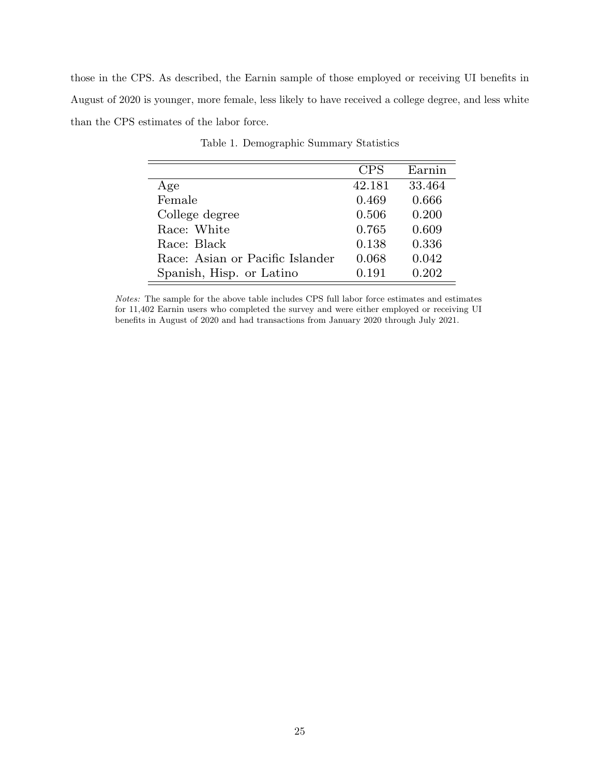those in the CPS. As described, the Earnin sample of those employed or receiving UI benefits in August of 2020 is younger, more female, less likely to have received a college degree, and less white than the CPS estimates of the labor force.

|                                 | <b>CPS</b> | Earnin |
|---------------------------------|------------|--------|
| Age                             | 42.181     | 33.464 |
| Female                          | 0.469      | 0.666  |
| College degree                  | 0.506      | 0.200  |
| Race: White                     | 0.765      | 0.609  |
| Race: Black                     | 0.138      | 0.336  |
| Race: Asian or Pacific Islander | 0.068      | 0.042  |
| Spanish, Hisp. or Latino        | 0.191      | 0.202  |

Table 1. Demographic Summary Statistics

Notes: The sample for the above table includes CPS full labor force estimates and estimates for 11,402 Earnin users who completed the survey and were either employed or receiving UI benefits in August of 2020 and had transactions from January 2020 through July 2021.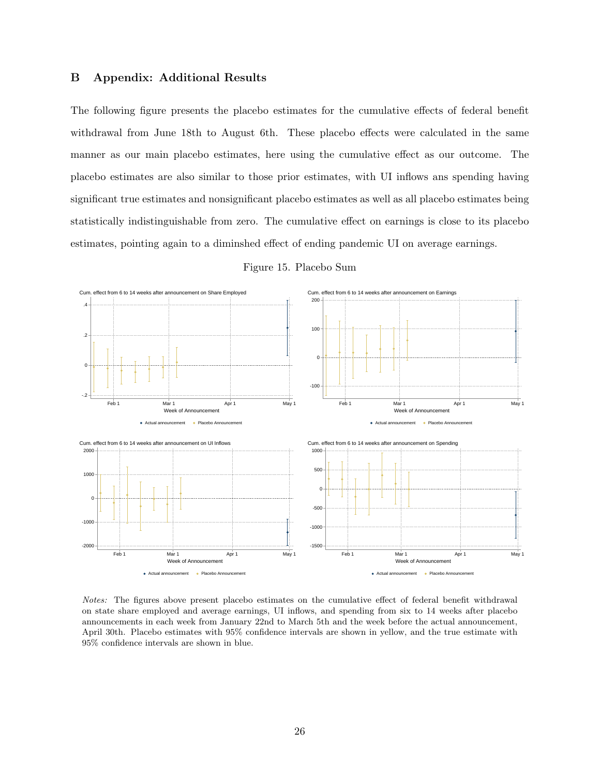# B Appendix: Additional Results

The following figure presents the placebo estimates for the cumulative effects of federal benefit withdrawal from June 18th to August 6th. These placebo effects were calculated in the same manner as our main placebo estimates, here using the cumulative effect as our outcome. The placebo estimates are also similar to those prior estimates, with UI inflows ans spending having significant true estimates and nonsignificant placebo estimates as well as all placebo estimates being statistically indistinguishable from zero. The cumulative effect on earnings is close to its placebo estimates, pointing again to a diminshed effect of ending pandemic UI on average earnings.



Figure 15. Placebo Sum

Notes: The figures above present placebo estimates on the cumulative effect of federal benefit withdrawal on state share employed and average earnings, UI inflows, and spending from six to 14 weeks after placebo announcements in each week from January 22nd to March 5th and the week before the actual announcement, April 30th. Placebo estimates with 95% confidence intervals are shown in yellow, and the true estimate with 95% confidence intervals are shown in blue.